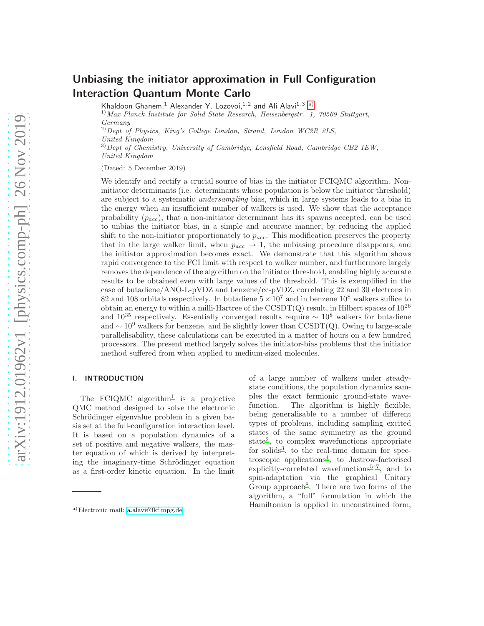# Unbiasing the initiator approximation in Full Configuration Interaction Quantum Monte Carlo

Khaldoon Ghanem,<sup>1</sup> Alexander Y. Lozovoi,<sup>1,2</sup> and Ali Alavi<sup>1,3, [a\)](#page-0-0)</sup>

 $^{1)}$ Max Planck Institute for Solid State Research, Heisenbergstr. 1, 70569 Stuttgart, Germany

 $^{2)}$ Dept of Physics, King's College London, Strand, London WC2R 2LS, United Kingdom

 $^{3)}$  Dept of Chemistry, University of Cambridge, Lensfield Road, Cambridge CB2 1EW, United Kingdom

(Dated: 5 December 2019)

We identify and rectify a crucial source of bias in the initiator FCIQMC algorithm. Noninitiator determinants (i.e. determinants whose population is below the initiator threshold) are subject to a systematic undersampling bias, which in large systems leads to a bias in the energy when an insufficient number of walkers is used. We show that the acceptance probability  $(p_{acc})$ , that a non-initiator determinant has its spawns accepted, can be used to unbias the initiator bias, in a simple and accurate manner, by reducing the applied shift to the non-initiator proportionately to  $p_{acc}$ . This modification preserves the property that in the large walker limit, when  $p_{acc} \rightarrow 1$ , the unbiasing procedure disappears, and the initiator approximation becomes exact. We demonstrate that this algorithm shows rapid convergence to the FCI limit with respect to walker number, and furthermore largely removes the dependence of the algorithm on the initiator threshold, enabling highly accurate results to be obtained even with large values of the threshold. This is exemplified in the case of butadiene/ANO-L-pVDZ and benzene/cc-pVDZ, correlating 22 and 30 electrons in 82 and 108 orbitals respectively. In butadiene  $5 \times 10^7$  and in benzene 10<sup>8</sup> walkers suffice to obtain an energy to within a milli-Hartree of the  $\text{CCSDT}(Q)$  result, in Hilbert spaces of  $10^{26}$ and  $10^{35}$  respectively. Essentially converged results require  $\sim 10^8$  walkers for butadiene and  $\sim 10^9$  walkers for benzene, and lie slightly lower than CCSDT(Q). Owing to large-scale parallelisability, these calculations can be executed in a matter of hours on a few hundred processors. The present method largely solves the initiator-bias problems that the initiator method suffered from when applied to medium-sized molecules.

## I. INTRODUCTION

The FCIQMC algorithm<sup>[1](#page-10-0)</sup> is a projective QMC method designed to solve the electronic Schrödinger eigenvalue problem in a given basis set at the full-configuration interaction level. It is based on a population dynamics of a set of positive and negative walkers, the master equation of which is derived by interpreting the imaginary-time Schrödinger equation as a first-order kinetic equation. In the limit of a large number of walkers under steadystate conditions, the population dynamics samples the exact fermionic ground-state wavefunction. The algorithm is highly flexible, being generalisable to a number of different types of problems, including sampling excited states of the same symmetry as the ground state[2](#page-10-1) , to complex wavefunctions appropriate for solids<sup>[3](#page-10-2)</sup>, to the real-time domain for spectroscopic applications[4](#page-10-3) , to Jastrow-factorised explicitly-correlated wavefunctions<sup>[5](#page-10-4)-7</sup>, and to spin-adaptation via the graphical Unitary Group approach<sup>[8](#page-10-6)</sup>. There are two forms of the algorithm, a "full" formulation in which the Hamiltonian is applied in unconstrained form,

<span id="page-0-0"></span>a)Electronic mail: [a.alavi@fkf.mpg.de](mailto:a.alavi@fkf.mpg.de)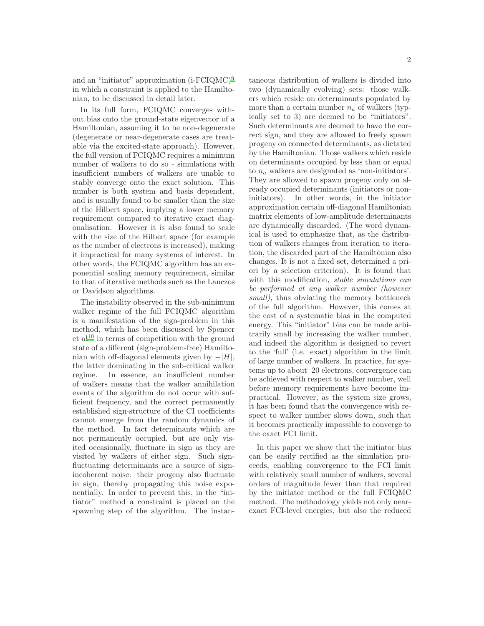and an "initiator" approximation  $(i-FCIQMC)^9$  $(i-FCIQMC)^9$ in which a constraint is applied to the Hamiltonian, to be discussed in detail later.

In its full form, FCIQMC converges without bias onto the ground-state eigenvector of a Hamiltonian, assuming it to be non-degenerate (degenerate or near-degenerate cases are treatable via the excited-state approach). However, the full version of FCIQMC requires a minimum number of walkers to do so - simulations with insufficient numbers of walkers are unable to stably converge onto the exact solution. This number is both system and basis dependent, and is usually found to be smaller than the size of the Hilbert space, implying a lower memory requirement compared to iterative exact diagonalisation. However it is also found to scale with the size of the Hilbert space (for example as the number of electrons is increased), making it impractical for many systems of interest. In other words, the FCIQMC algorithm has an exponential scaling memory requirement, similar to that of iterative methods such as the Lanczos or Davidson algorithms.

The instability observed in the sub-minimum walker regime of the full FCIQMC algorithm is a manifestation of the sign-problem in this method, which has been discussed by Spencer  $et al<sup>10</sup>$  $et al<sup>10</sup>$  $et al<sup>10</sup>$  in terms of competition with the ground state of a different (sign-problem-free) Hamiltonian with off-diagonal elements given by  $-|H|$ , the latter dominating in the sub-critical walker regime. In essence, an insufficient number of walkers means that the walker annihilation events of the algorithm do not occur with sufficient frequency, and the correct permanently established sign-structure of the CI coefficients cannot emerge from the random dynamics of the method. In fact determinants which are not permanently occupied, but are only visited occasionally, fluctuate in sign as they are visited by walkers of either sign. Such signfluctuating determinants are a source of signincoherent noise: their progeny also fluctuate in sign, thereby propagating this noise exponentially. In order to prevent this, in the "initiator" method a constraint is placed on the spawning step of the algorithm. The instan-

taneous distribution of walkers is divided into two (dynamically evolving) sets: those walkers which reside on determinants populated by more than a certain number  $n_a$  of walkers (typically set to 3) are deemed to be "initiators". Such determinants are deemed to have the correct sign, and they are allowed to freely spawn progeny on connected determinants, as dictated by the Hamiltonian. Those walkers which reside on determinants occupied by less than or equal to  $n_a$  walkers are designated as 'non-initiators'. They are allowed to spawn progeny only on already occupied determinants (initiators or noninitiators). In other words, in the initiator approximation certain off-diagonal Hamiltonian matrix elements of low-amplitude determinants are dynamically discarded. (The word dynamical is used to emphasize that, as the distribution of walkers changes from iteration to iteration, the discarded part of the Hamiltonian also changes. It is not a fixed set, determined a priori by a selection criterion). It is found that with this modification, *stable simulations* can be performed at any walker number (however small), thus obviating the memory bottleneck of the full algorithm. However, this comes at the cost of a systematic bias in the computed energy. This "initiator" bias can be made arbitrarily small by increasing the walker number, and indeed the algorithm is designed to revert to the 'full' (i.e. exact) algorithm in the limit of large number of walkers. In practice, for systems up to about 20 electrons, convergence can be achieved with respect to walker number, well before memory requirements have become impractical. However, as the system size grows, it has been found that the convergence with respect to walker number slows down, such that it becomes practically impossible to converge to the exact FCI limit.

In this paper we show that the initiator bias can be easily rectified as the simulation proceeds, enabling convergence to the FCI limit with relatively small number of walkers, several orders of magnitude fewer than that required by the initiator method or the full FCIQMC method. The methodology yields not only nearexact FCI-level energies, but also the reduced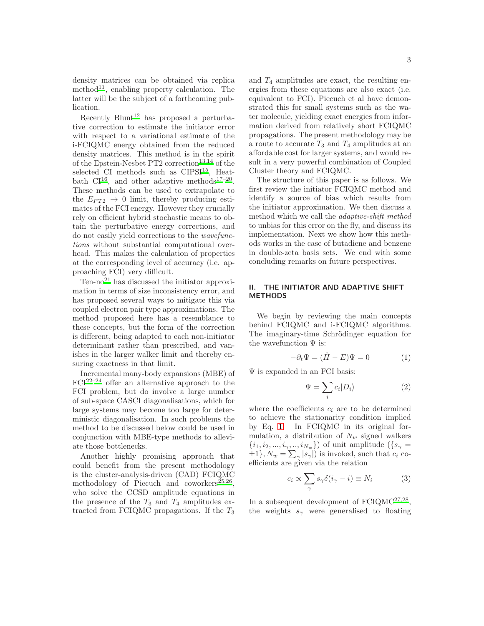density matrices can be obtained via replica method<sup>[11](#page-10-9)</sup>, enabling property calculation. The latter will be the subject of a forthcoming publication.

Recently Blunt<sup>[12](#page-10-10)</sup> has proposed a perturbative correction to estimate the initiator error with respect to a variational estimate of the i-FCIQMC energy obtained from the reduced density matrices. This method is in the spirit of the Epstein-Nesbet PT2 correction<sup>[13](#page-11-0)[,14](#page-11-1)</sup> of the selected CI methods such as CIPSI<sup>[15](#page-11-2)</sup>, Heatbath  $CI^{16}$  $CI^{16}$  $CI^{16}$ , and other adaptive methods<sup>[17](#page-11-4)-20</sup>. These methods can be used to extrapolate to the  $E_{PT2} \rightarrow 0$  limit, thereby producing estimates of the FCI energy. However they crucially rely on efficient hybrid stochastic means to obtain the perturbative energy corrections, and do not easily yield corrections to the wavefunctions without substantial computational overhead. This makes the calculation of properties at the corresponding level of accuracy (i.e. approaching FCI) very difficult.

 $Ten-no<sup>21</sup>$  $Ten-no<sup>21</sup>$  $Ten-no<sup>21</sup>$  has discussed the initiator approximation in terms of size inconsistency error, and has proposed several ways to mitigate this via coupled electron pair type approximations. The method proposed here has a resemblance to these concepts, but the form of the correction is different, being adapted to each non-initiator determinant rather than prescribed, and vanishes in the larger walker limit and thereby ensuring exactness in that limit.

Incremental many-body expansions (MBE) of FCI[22](#page-11-7)[–24](#page-11-8) offer an alternative approach to the FCI problem, but do involve a large number of sub-space CASCI diagonalisations, which for large systems may become too large for deterministic diagonalisation. In such problems the method to be discussed below could be used in conjunction with MBE-type methods to alleviate those bottlenecks.

Another highly promising approach that could benefit from the present methodology is the cluster-analysis-driven (CAD) FCIQMC methodology of Piecuch and coworkers<sup>[25](#page-11-9)[,26](#page-11-10)</sup>, who solve the CCSD amplitude equations in the presence of the  $T_3$  and  $T_4$  amplitudes extracted from FCIQMC propagations. If the  $T_3$  and  $T_4$  amplitudes are exact, the resulting energies from these equations are also exact (i.e. equivalent to FCI). Piecuch et al have demonstrated this for small systems such as the water molecule, yielding exact energies from information derived from relatively short FCIQMC propagations. The present methodology may be a route to accurate  $T_3$  and  $T_4$  amplitudes at an affordable cost for larger systems, and would result in a very powerful combination of Coupled Cluster theory and FCIQMC.

The structure of this paper is as follows. We first review the initiator FCIQMC method and identify a source of bias which results from the initiator approximation. We then discuss a method which we call the adaptive-shift method to unbias for this error on the fly, and discuss its implementation. Next we show how this methods works in the case of butadiene and benzene in double-zeta basis sets. We end with some concluding remarks on future perspectives.

#### II. THE INITIATOR AND ADAPTIVE SHIFT METHODS

We begin by reviewing the main concepts behind FCIQMC and i-FCIQMC algorithms. The imaginary-time Schrödinger equation for the wavefunction  $\Psi$  is:

<span id="page-2-0"></span>
$$
-\partial_t \Psi = (\hat{H} - E)\Psi = 0 \tag{1}
$$

 $\Psi$  is expanded in an FCI basis:

$$
\Psi = \sum_{i} c_i |D_i\rangle \tag{2}
$$

where the coefficients  $c_i$  are to be determined to achieve the stationarity condition implied by Eq. [1.](#page-2-0) In FCIQMC in its original formulation, a distribution of  $N_w$  signed walkers  ${i_1, i_2, ..., i_{\gamma}, ..., i_{N_w}}$ ) of unit amplitude ({ $s_{\gamma}$  =  $\pm 1$ ,  $N_w = \sum_{\gamma} |s_{\gamma}|$  is invoked, such that  $c_i$  coefficients are given via the relation

<span id="page-2-1"></span>
$$
c_i \propto \sum_{\gamma} s_{\gamma} \delta(i_{\gamma} - i) \equiv N_i \tag{3}
$$

In a subsequent development of  $FCIQMC^{27,28}$  $FCIQMC^{27,28}$  $FCIQMC^{27,28}$  $FCIQMC^{27,28}$ , the weights  $s_{\gamma}$  were generalised to floating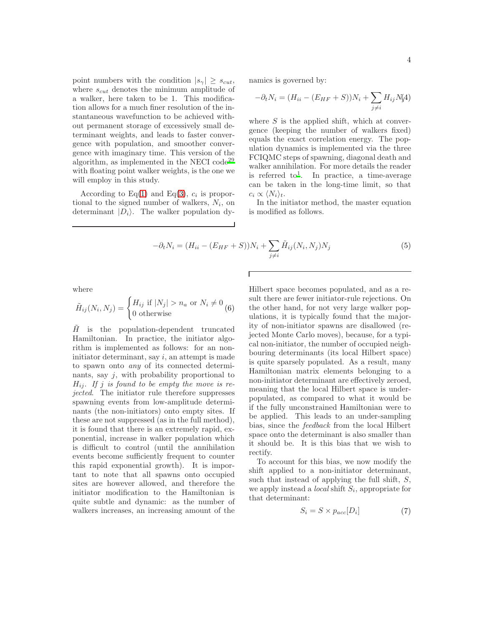point numbers with the condition  $|s_{\gamma}| \geq s_{cut}$ , where  $s_{cut}$  denotes the minimum amplitude of a walker, here taken to be 1. This modification allows for a much finer resolution of the instantaneous wavefunction to be achieved without permanent storage of excessively small determinant weights, and leads to faster convergence with population, and smoother convergence with imaginary time. This version of the algorithm, as implemented in the NECI  $\text{code}^{29}$  $\text{code}^{29}$  $\text{code}^{29}$ with floating point walker weights, is the one we will employ in this study.

According to Eq[\(1\)](#page-2-0) and Eq[\(3\)](#page-2-1),  $c_i$  is proportional to the signed number of walkers,  $N_i$ , on determinant  $|D_i\rangle$ . The walker population dynamics is governed by:

$$
-\partial_t N_i = (H_{ii} - (E_{HF} + S))N_i + \sum_{j \neq i} H_{ij}N_j4)
$$

where  $S$  is the applied shift, which at convergence (keeping the number of walkers fixed) equals the exact correlation energy. The population dynamics is implemented via the three FCIQMC steps of spawning, diagonal death and walker annihilation. For more details the reader is referred to<sup>[1](#page-10-0)</sup>. In practice, a time-average can be taken in the long-time limit, so that  $c_i \propto \langle N_i \rangle_t$ .

In the initiator method, the master equation is modified as follows.

$$
-\partial_t N_i = (H_{ii} - (E_{HF} + S))N_i + \sum_{j \neq i} \tilde{H}_{ij}(N_i, N_j)N_j
$$
\n(5)

Г

where

$$
\tilde{H}_{ij}(N_i, N_j) = \begin{cases} H_{ij} \text{ if } |N_j| > n_a \text{ or } N_i \neq 0\\ 0 \text{ otherwise} \end{cases} (6)
$$

 $\hat{H}$  is the population-dependent truncated Hamiltonian. In practice, the initiator algorithm is implemented as follows: for an noninitiator determinant, say  $i$ , an attempt is made to spawn onto any of its connected determinants, say  $i$ , with probability proportional to  $H_{ij}$ . If j is found to be empty the move is rejected. The initiator rule therefore suppresses spawning events from low-amplitude determinants (the non-initiators) onto empty sites. If these are not suppressed (as in the full method), it is found that there is an extremely rapid, exponential, increase in walker population which is difficult to control (until the annihilation events become sufficiently frequent to counter this rapid exponential growth). It is important to note that all spawns onto occupied sites are however allowed, and therefore the initiator modification to the Hamiltonian is quite subtle and dynamic: as the number of walkers increases, an increasing amount of the Hilbert space becomes populated, and as a result there are fewer initiator-rule rejections. On the other hand, for not very large walker populations, it is typically found that the majority of non-initiator spawns are disallowed (rejected Monte Carlo moves), because, for a typical non-initiator, the number of occupied neighbouring determinants (its local Hilbert space) is quite sparsely populated. As a result, many Hamiltonian matrix elements belonging to a non-initiator determinant are effectively zeroed, meaning that the local Hilbert space is underpopulated, as compared to what it would be if the fully unconstrained Hamiltonian were to be applied. This leads to an under-sampling bias, since the feedback from the local Hilbert space onto the determinant is also smaller than it should be. It is this bias that we wish to rectify.

To account for this bias, we now modify the shift applied to a non-initiator determinant, such that instead of applying the full shift,  $S$ , we apply instead a *local* shift  $S_i$ , appropriate for that determinant:

$$
S_i = S \times p_{acc}[D_i] \tag{7}
$$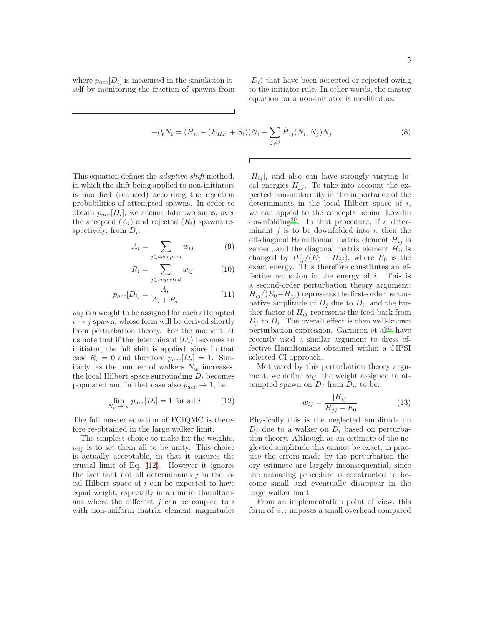where  $p_{acc}[D_i]$  is measured in the simulation itself by monitoring the fraction of spawns from  $|D_i\rangle$  that have been accepted or rejected owing to the initiator rule. In other words, the master equation for a non-initiator is modified as:

$$
-\partial_t N_i = (H_{ii} - (E_{HF} + S_i))N_i + \sum_{j \neq i} \tilde{H}_{ij}(N_i, N_j)N_j
$$
\n
$$
(8)
$$

This equation defines the adaptive-shift method, in which the shift being applied to non-initiators is modified (reduced) according the rejection probabilities of attempted spawns. In order to obtain  $p_{acc}[D_i]$ , we accumulate two sums, over the accepted  $(A_i)$  and rejected  $(R_i)$  spawns respectively, from  $D_i$ :

$$
A_i = \sum_{j \in accepted} w_{ij} \tag{9}
$$

$$
R_i = \sum_{j \in rejected} w_{ij} \tag{10}
$$

$$
p_{acc}[D_i] = \frac{A_i}{A_i + R_i} \tag{11}
$$

 $w_{ij}$  is a weight to be assigned for each attempted  $i \rightarrow j$  spawn, whose form will be derived shortly from perturbation theory. For the moment let us note that if the determinant  $|D_i\rangle$  becomes an initiator, the full shift is applied, since in that case  $R_i = 0$  and therefore  $p_{acc}[D_i] = 1$ . Similarly, as the number of walkers  $N_w$  increases, the local Hilbert space surrounding  $D_i$  becomes populated and in that case also  $p_{acc} \rightarrow 1$ , i.e.

<span id="page-4-0"></span>
$$
\lim_{N_w \to \infty} p_{acc}[D_i] = 1 \text{ for all } i \tag{12}
$$

The full master equation of FCIQMC is therefore re-obtained in the large walker limit.

The simplest choice to make for the weights,  $w_{ij}$  is to set them all to be unity. This choice is actually acceptable, in that it ensures the crucial limit of Eq. [\(12\)](#page-4-0). However it ignores the fact that not all determinants  $j$  in the local Hilbert space of i can be expected to have equal weight, especially in ab initio Hamiltonians where the different  $j$  can be coupled to  $i$ with non-uniform matrix element magnitudes  $|H_{ij}|$ , and also can have strongly varying local energies  $H_{jj}$ . To take into account the expected non-uniformity in the importance of the determinants in the local Hilbert space of i, we can appeal to the concepts behind Löwdin downfolding[30](#page-11-14). In that procedure, if a determinant  $j$  is to be downfolded into  $i$ , then the off-diagonal Hamiltonian matrix element  $H_{ij}$  is zeroed, and the diagonal matrix element  $H_{ii}$  is changed by  $H_{ij}^2/(E_0 - H_{jj})$ , where  $E_0$  is the exact energy. This therefore constitutes an effective reduction in the energy of  $i$ . This is a second-order perturbation theory argument:  $H_{ij}/(E_0-H_{jj})$  represents the first-order perturbative amplitude of  $D_j$  due to  $D_i$ , and the further factor of  $H_{ij}$  represents the feed-back from  $D_j$  to  $D_i$ . The overall effect is then well-known perturbation expression. Garniron et  $al<sup>31</sup>$  $al<sup>31</sup>$  $al<sup>31</sup>$  have recently used a similar argument to dress effective Hamiltonians obtained within a CIPSI selected-CI approach.

Motivated by this perturbation theory argument, we define  $w_{ij}$ , the weight assigned to attempted spawn on  $D_j$  from  $D_i$ , to be:

$$
w_{ij} = \frac{|H_{ij}|}{H_{jj} - E_0}
$$
 (13)

Physically this is the neglected amplitude on  $D_i$  due to a walker on  $D_i$  based on perturbation theory. Although as an estimate of the neglected amplitude this cannot be exact, in practice the errors made by the perturbation theory estimate are largely inconsequential, since the unbiasing procedure is constructed to become small and eventually disappear in the large walker limit.

From an implementation point of view, this form of  $w_{ij}$  imposes a small overhead compared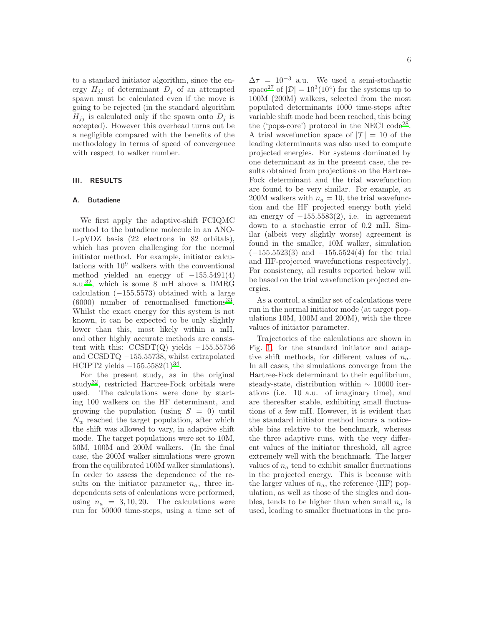to a standard initiator algorithm, since the energy  $H_{ij}$  of determinant  $D_i$  of an attempted spawn must be calculated even if the move is going to be rejected (in the standard algorithm  $H_{jj}$  is calculated only if the spawn onto  $D_j$  is accepted). However this overhead turns out be a negligible compared with the benefits of the methodology in terms of speed of convergence with respect to walker number.

#### III. RESULTS

#### A. Butadiene

We first apply the adaptive-shift FCIQMC method to the butadiene molecule in an ANO-L-pVDZ basis (22 electrons in 82 orbitals), which has proven challenging for the normal initiator method. For example, initiator calculations with  $10<sup>9</sup>$  walkers with the conventional method yielded an energy of  $-155.5491(4)$ a.u.<sup>[32](#page-11-16)</sup>, which is some 8 mH above a DMRG calculation  $(-155.5573)$  obtained with a large (6000) number of renormalised functions[33](#page-11-17) . Whilst the exact energy for this system is not known, it can be expected to be only slightly lower than this, most likely within a mH, and other highly accurate methods are consistent with this:  $CCSDT(Q)$  yields  $-155.55756$ and CCSDTQ −155.55738, whilst extrapolated HCIPT2 yields  $-155.5582(1)^{34}$  $-155.5582(1)^{34}$  $-155.5582(1)^{34}$ .

For the present study, as in the original study[32](#page-11-16), restricted Hartree-Fock orbitals were used. The calculations were done by starting 100 walkers on the HF determinant, and growing the population (using  $S = 0$ ) until  $N_w$  reached the target population, after which the shift was allowed to vary, in adaptive shift mode. The target populations were set to 10M, 50M, 100M and 200M walkers. (In the final case, the 200M walker simulations were grown from the equilibrated 100M walker simulations). In order to assess the dependence of the results on the initiator parameter  $n_a$ , three independents sets of calculations were performed, using  $n_a = 3, 10, 20$ . The calculations were run for 50000 time-steps, using a time set of  $\Delta \tau = 10^{-3}$  a.u. We used a semi-stochastic space<sup>[27](#page-11-11)</sup> of  $|\mathcal{D}| = 10^3 (10^4)$  for the systems up to 100M (200M) walkers, selected from the most populated determinants 1000 time-steps after variable shift mode had been reached, this being the ('pops-core') protocol in the NECI code<sup>[28](#page-11-12)</sup>. A trial wavefunction space of  $|\mathcal{T}| = 10$  of the leading determinants was also used to compute projected energies. For systems dominated by one determinant as in the present case, the results obtained from projections on the Hartree-Fock determinant and the trial wavefunction are found to be very similar. For example, at 200M walkers with  $n_a = 10$ , the trial wavefunction and the HF projected energy both yield an energy of  $-155.5583(2)$ , i.e. in agreement down to a stochastic error of 0.2 mH. Similar (albeit very slightly worse) agreement is found in the smaller, 10M walker, simulation  $(-155.5523(3)$  and  $-155.5524(4)$  for the trial and HF-projected wavefunctions respectively). For consistency, all results reported below will be based on the trial wavefunction projected energies.

As a control, a similar set of calculations were run in the normal initiator mode (at target populations 10M, 100M and 200M), with the three values of initiator parameter.

Trajectories of the calculations are shown in Fig. [1,](#page-7-0) for the standard initiator and adaptive shift methods, for different values of  $n_a$ . In all cases, the simulations converge from the Hartree-Fock determinant to their equilibrium, steady-state, distribution within ∼ 10000 iterations (i.e. 10 a.u. of imaginary time), and are thereafter stable, exhibiting small fluctuations of a few mH. However, it is evident that the standard initiator method incurs a noticeable bias relative to the benchmark, whereas the three adaptive runs, with the very different values of the initiator threshold, all agree extremely well with the benchmark. The larger values of  $n_a$  tend to exhibit smaller fluctuations in the projected energy. This is because with the larger values of  $n_a$ , the reference (HF) population, as well as those of the singles and doubles, tends to be higher than when small  $n_a$  is used, leading to smaller fluctuations in the pro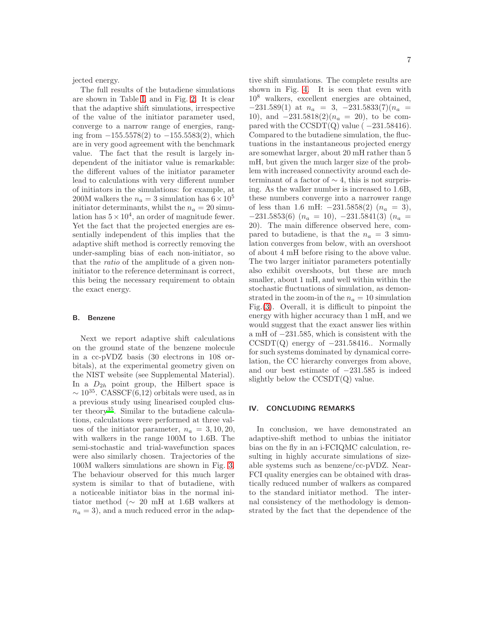jected energy.

The full results of the butadiene simulations are shown in Table [I,](#page-8-0) and in Fig. [2.](#page-8-1) It is clear that the adaptive shift simulations, irrespective of the value of the initiator parameter used, converge to a narrow range of energies, ranging from  $-155.5578(2)$  to  $-155.5583(2)$ , which are in very good agreement with the benchmark value. The fact that the result is largely independent of the initiator value is remarkable: the different values of the initiator parameter lead to calculations with very different number of initiators in the simulations: for example, at 200M walkers the  $n_a = 3$  simulation has  $6 \times 10^5$ initiator determinants, whilst the  $n_a = 20$  simulation has  $5 \times 10^4$ , an order of magnitude fewer. Yet the fact that the projected energies are essentially independent of this implies that the adaptive shift method is correctly removing the under-sampling bias of each non-initiator, so that the ratio of the amplitude of a given noninitiator to the reference determinant is correct, this being the necessary requirement to obtain the exact energy.

#### B. Benzene

Next we report adaptive shift calculations on the ground state of the benzene molecule in a cc-pVDZ basis (30 electrons in 108 orbitals), at the experimental geometry given on the NIST website (see Supplemental Material). In a  $D_{2h}$  point group, the Hilbert space is  $\sim 10^{35}$ . CASSCF(6,12) orbitals were used, as in a previous study using linearised coupled clus-ter theory<sup>[35](#page-11-19)</sup>. Similar to the butadiene calculations, calculations were performed at three values of the initiator parameter,  $n_a = 3, 10, 20$ , with walkers in the range 100M to 1.6B. The semi-stochastic and trial-wavefunction spaces were also similarly chosen. Trajectories of the 100M walkers simulations are shown in Fig. [3.](#page-9-0) The behaviour observed for this much larger system is similar to that of butadiene, with a noticeable initiator bias in the normal initiator method (∼ 20 mH at 1.6B walkers at  $n_a = 3$ , and a much reduced error in the adaptive shift simulations. The complete results are shown in Fig. [4.](#page-10-11) It is seen that even with 10<sup>8</sup> walkers, excellent energies are obtained,  $-231.589(1)$  at  $n_a = 3, -231.5833(7)(n_a =$ 10), and  $-231.5818(2)(n_a = 20)$ , to be compared with the  $\text{CCSDT}(Q)$  value ( $-231.58416$ ). Compared to the butadiene simulation, the fluctuations in the instantaneous projected energy are somewhat larger, about 20 mH rather than 5 mH, but given the much larger size of the problem with increased connectivity around each determinant of a factor of  $\sim$  4, this is not surprising. As the walker number is increased to 1.6B, these numbers converge into a narrower range of less than 1.6 mH:  $-231.5858(2)$  ( $n_a = 3$ ),  $-231.5853(6)$   $(n_a = 10)$ ,  $-231.5841(3)$   $(n_a =$ 20). The main difference observed here, compared to butadiene, is that the  $n_a = 3$  simulation converges from below, with an overshoot of about 4 mH before rising to the above value. The two larger initiator parameters potentially also exhibit overshoots, but these are much smaller, about 1 mH, and well within within the stochastic fluctuations of simulation, as demonstrated in the zoom-in of the  $n_a = 10$  simulation Fig.[\(3\)](#page-9-0). Overall, it is difficult to pinpoint the energy with higher accuracy than 1 mH, and we would suggest that the exact answer lies within a mH of −231.585, which is consistent with the  $CCSDT(Q)$  energy of  $-231.58416$ .. Normally for such systems dominated by dynamical correlation, the CC hierarchy converges from above, and our best estimate of −231.585 is indeed slightly below the  $\text{CCSDT}(Q)$  value.

#### IV. CONCLUDING REMARKS

In conclusion, we have demonstrated an adaptive-shift method to unbias the initiator bias on the fly in an i-FCIQMC calculation, resulting in highly accurate simulations of sizeable systems such as benzene/cc-pVDZ. Near-FCI quality energies can be obtained with drastically reduced number of walkers as compared to the standard initiator method. The internal consistency of the methodology is demonstrated by the fact that the dependence of the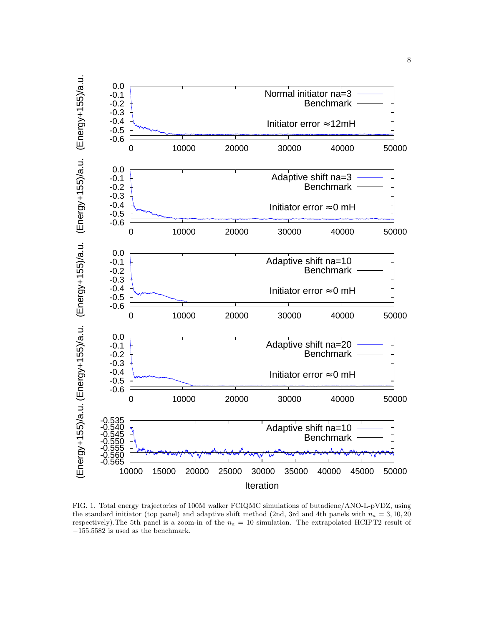

<span id="page-7-0"></span>FIG. 1. Total energy trajectories of 100M walker FCIQMC simulations of butadiene/ANO-L-pVDZ, using the standard initiator (top panel) and adaptive shift method (2nd, 3rd and 4th panels with  $n_a = 3, 10, 20$ respectively). The 5th panel is a zoom-in of the  $n_a = 10$  simulation. The extrapolated HCIPT2 result of  $-155.5582$  is used as the benchmark.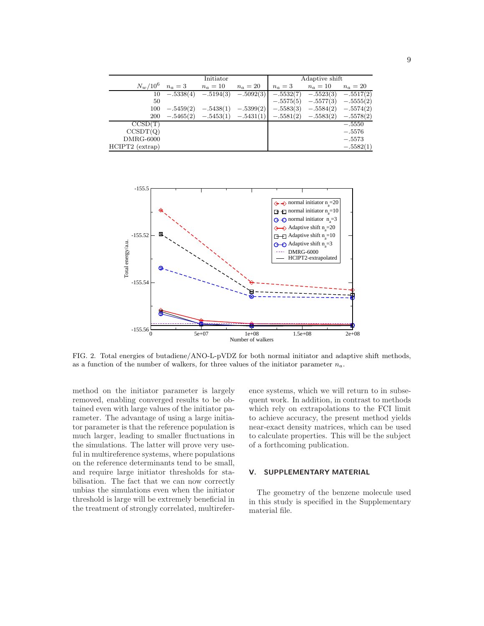|                   | Initiator   |                                     |             | Adaptive shift |             |             |
|-------------------|-------------|-------------------------------------|-------------|----------------|-------------|-------------|
| $N_w/10^6$        | $n_a=3$     | $n_a=10$                            | $n_a=20$    | $n_a=3$        | $n_a=10$    | $n_a=20$    |
| 10                |             | $-.5338(4)$ $-.5194(3)$             | $-.5092(3)$ | $-.5532(7)$    | $-.5523(3)$ | $-.5517(2)$ |
| 50                |             |                                     |             | $-.5575(5)$    | $-.5577(3)$ | $-.5555(2)$ |
| 100               | $-.5459(2)$ | $-.5438(1)$                         | $-.5399(2)$ | $-.5583(3)$    | $-.5584(2)$ | $-.5574(2)$ |
| 200               |             | $-.5465(2)$ $-.5453(1)$ $-.5431(1)$ |             | $-.5581(2)$    | $-.5583(2)$ | $-.5578(2)$ |
| CCSD(T)           |             |                                     |             |                |             | $-.5550$    |
| CCSDT(Q)          |             |                                     |             |                |             | $-.5576$    |
| $DMRG-6000$       |             |                                     |             |                |             | $-.5573$    |
| $HCIPT2$ (extrap) |             |                                     |             |                |             | $-.5582(1)$ |

<span id="page-8-0"></span>

<span id="page-8-1"></span>FIG. 2. Total energies of butadiene/ANO-L-pVDZ for both normal initiator and adaptive shift methods, as a function of the number of walkers, for three values of the initiator parameter  $n_a$ .

method on the initiator parameter is largely removed, enabling converged results to be obtained even with large values of the initiator parameter. The advantage of using a large initiator parameter is that the reference population is much larger, leading to smaller fluctuations in the simulations. The latter will prove very useful in multireference systems, where populations on the reference determinants tend to be small, and require large initiator thresholds for stabilisation. The fact that we can now correctly unbias the simulations even when the initiator threshold is large will be extremely beneficial in the treatment of strongly correlated, multireference systems, which we will return to in subsequent work. In addition, in contrast to methods which rely on extrapolations to the FCI limit to achieve accuracy, the present method yields near-exact density matrices, which can be used to calculate properties. This will be the subject of a forthcoming publication.

#### V. SUPPLEMENTARY MATERIAL

The geometry of the benzene molecule used in this study is specified in the Supplementary material file.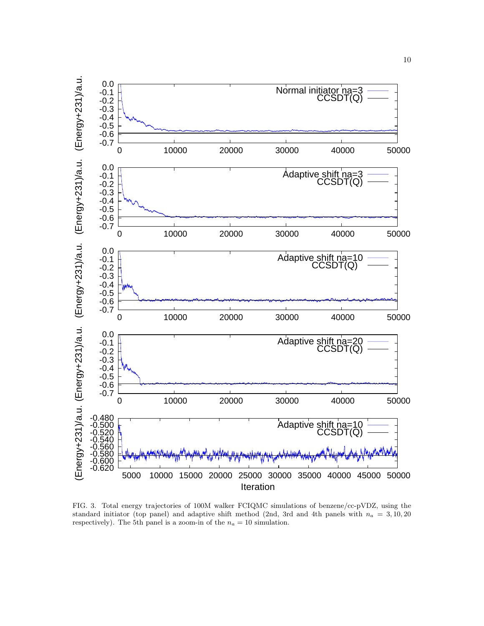

<span id="page-9-0"></span>FIG. 3. Total energy trajectories of 100M walker FCIQMC simulations of benzene/cc-pVDZ, using the standard initiator (top panel) and adaptive shift method (2nd, 3rd and 4th panels with  $n_a = 3, 10, 20$ respectively). The 5th panel is a zoom-in of the  $n_a = 10$  simulation.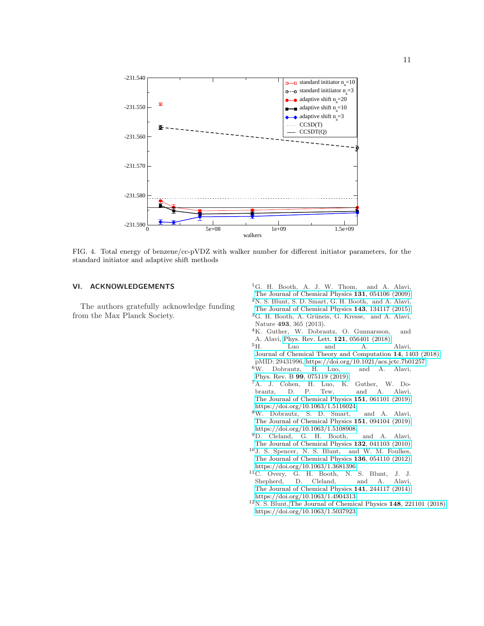

<span id="page-10-11"></span>FIG. 4. Total energy of benzene/cc-pVDZ with walker number for different initiator parameters, for the standard initiator and adaptive shift methods

### VI. ACKNOWLEDGEMENTS

The authors gratefully acknowledge funding from the Max Planck Society.

- <span id="page-10-0"></span><sup>1</sup>G. H. Booth, A. J. W. Thom, and A. Alavi,
- [The Journal of Chemical Physics](http://dx.doi.org/10.1063/1.3193710) 131, 054106 (2009).
- <span id="page-10-1"></span><sup>2</sup>N. S. Blunt, S. D. Smart, G. H. Booth, and A. Alavi,
- [The Journal of Chemical Physics](http://dx.doi.org/10.1063/1.4932595) 143, 134117 (2015).
- <span id="page-10-2"></span> ${}^{3}$ G. H. Booth, A. Grüneis, G. Kresse, and A. Alavi, Nature 493, 365 (2013).
- <span id="page-10-3"></span><sup>4</sup>K. Guther, W. Dobrautz, O. Gunnarsson, and A. Alavi, [Phys. Rev. Lett.](http://dx.doi.org/10.1103/PhysRevLett.121.056401) **121**, 056401 (2018).<br><sup>5</sup>H. Luo and A.
- <span id="page-10-4"></span><sup>5</sup>H. Luo and A. Alavi, [Journal of Chemical Theory and Computation](http://dx.doi.org/10.1021/acs.jctc.7b01257) 14, 1403 (2018), pMID: 29431996, [https://doi.org/10.1021/acs.jctc.7b01257.](http://arxiv.org/abs/https://doi.org/10.1021/acs.jctc.7b01257)
- $6W.$  Dobrautz, Phys. Rev. B **99**[, 075119 \(2019\).](http://dx.doi.org/10.1103/PhysRevB.99.075119)
- <span id="page-10-5"></span><sup>7</sup>A. J. Cohen, H. Luo, K. Guther, W. Dobrautz, D. P. Tew, and A. Alavi, [The Journal of Chemical Physics](http://dx.doi.org/ 10.1063/1.5116024) 151, 061101 (2019), [https://doi.org/10.1063/1.5116024.](http://arxiv.org/abs/https://doi.org/10.1063/1.5116024)
- <span id="page-10-6"></span><sup>8</sup>W. Dobrautz, S. D. Smart, and A. Alavi, [The Journal of Chemical Physics](http://dx.doi.org/10.1063/1.5108908) 151, 094104 (2019), [https://doi.org/10.1063/1.5108908.](http://arxiv.org/abs/https://doi.org/10.1063/1.5108908)
- <span id="page-10-7"></span><sup>9</sup>D. Cleland, G. H. Booth, and A. Alavi, [The Journal of Chemical Physics](http://dx.doi.org/10.1063/1.3302277) 132, 041103 (2010).
- <span id="page-10-8"></span><sup>10</sup>J. S. Spencer, N. S. Blunt, and W. M. Foulkes, [The Journal of Chemical Physics](http://dx.doi.org/10.1063/1.3681396) 136, 054110 (2012), [https://doi.org/10.1063/1.3681396.](http://arxiv.org/abs/https://doi.org/10.1063/1.3681396)
- <span id="page-10-9"></span><sup>11</sup>C. Overy, G. H. Booth, N. S. Blunt, J. J. Shepherd, D. Cleland, and A. Alavi, [The Journal of Chemical Physics](http://dx.doi.org/ 10.1063/1.4904313) 141, 244117 (2014), [https://doi.org/10.1063/1.4904313.](http://arxiv.org/abs/https://doi.org/10.1063/1.4904313)
- <span id="page-10-10"></span> $12$ N. S. Blunt, [The Journal of Chemical Physics](http://dx.doi.org/10.1063/1.5037923) 148, 221101 (2018), [https://doi.org/10.1063/1.5037923.](http://arxiv.org/abs/https://doi.org/10.1063/1.5037923)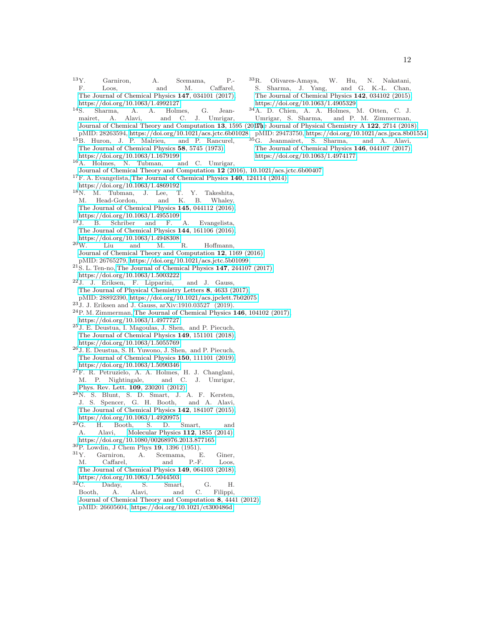- <span id="page-11-0"></span><sup>13</sup>Y. Garniron, A. Scemama, P.-<br>F. Loos, and M. Caffarel. Loos, and M. Caffarel, [The Journal of Chemical Physics](http://dx.doi.org/10.1063/1.4992127) 147, 034101 (2017), [https://doi.org/10.1063/1.4992127.](http://arxiv.org/abs/https://doi.org/10.1063/1.4992127)
- <span id="page-11-1"></span><sup>14</sup>S. Sharma, A. A. Holmes, G. Jeanmairet, A. Alavi, and C. J. Umrigar, [Journal of Chemical Theory and Computation](http://dx.doi.org/ 10.1021/acs.jctc.6b01028) 13, 1595 (2017) pe Journal of Physical Chemistry A 122, 2714 (2018),
- <span id="page-11-2"></span><sup>15</sup>B. Huron, J. P. Malrieu, and P. Rancurel, [The Journal of Chemical Physics](http://dx.doi.org/10.1063/1.1679199) 58, 5745 (1973), [https://doi.org/10.1063/1.1679199.](http://arxiv.org/abs/https://doi.org/10.1063/1.1679199)
- <span id="page-11-3"></span><sup>16</sup>A. Holmes, N. Tubman, and C. Umrigar,
- [Journal of Chemical Theory and Computation](http://dx.doi.org/10.1021/acs.jctc.6b00407) 12 (2016), 10.1021/acs.jctc.6b00407.
- <span id="page-11-4"></span><sup>17</sup>F. A. Evangelista, [The Journal of Chemical Physics](http://dx.doi.org/10.1063/1.4869192) 140, 124114 (2014),
- [https://doi.org/10.1063/1.4869192.](http://arxiv.org/abs/https://doi.org/10.1063/1.4869192)
- <sup>18</sup>N. M. Tubman, J. Lee, T. Y. Takeshita, M. Head-Gordon, and K. B. Whaley, [The Journal of Chemical Physics](http://dx.doi.org/ 10.1063/1.4955109) 145, 044112 (2016), [https://doi.org/10.1063/1.4955109.](http://arxiv.org/abs/https://doi.org/10.1063/1.4955109)
- <sup>19</sup>J. B. Schriber and F. A. Evangelista, [The Journal of Chemical Physics](http://dx.doi.org/10.1063/1.4948308) 144, 161106 (2016),  ${\frac{\text{https://doi.org/10.1063/1.4948308.}}{\text{I.iu}}}$  ${\frac{\text{https://doi.org/10.1063/1.4948308.}}{\text{I.iu}}}$  ${\frac{\text{https://doi.org/10.1063/1.4948308.}}{\text{I.iu}}}$  and M.
- <span id="page-11-5"></span>Liu and M. R. Hoffmann, [Journal of Chemical Theory and Computation](http://dx.doi.org/10.1021/acs.jctc.5b01099) 12, 1169 (2016), pMID: 26765279, [https://doi.org/10.1021/acs.jctc.5b01099.](http://arxiv.org/abs/https://doi.org/10.1021/acs.jctc.5b01099)
- <span id="page-11-6"></span> $21S$ . L. Ten-no, [The Journal of Chemical Physics](http://dx.doi.org/10.1063/1.5003222) 147, 244107 (2017), [https://doi.org/10.1063/1.5003222.](http://arxiv.org/abs/https://doi.org/10.1063/1.5003222)
- <span id="page-11-7"></span><sup>22</sup>J. J. Eriksen, F. Lipparini, and J. Gauss, [The Journal of Physical Chemistry Letters](http://dx.doi.org/10.1021/acs.jpclett.7b02075) 8, 4633 (2017), pMID: 28892390, [https://doi.org/10.1021/acs.jpclett.7b02075.](http://arxiv.org/abs/https://doi.org/10.1021/acs.jpclett.7b02075)
- <sup>23</sup>J. J. Eriksen and J. Gauss, arXiv:1910.03527 (2019).

<span id="page-11-8"></span> $24P$ . M. Zimmerman, [The Journal of Chemical Physics](http://dx.doi.org/10.1063/1.4977727) 146, 104102 (2017), [https://doi.org/10.1063/1.4977727.](http://arxiv.org/abs/https://doi.org/10.1063/1.4977727)

- <span id="page-11-9"></span><sup>25</sup>J. E. Deustua, I. Magoulas, J. Shen, and P. Piecuch, [The Journal of Chemical Physics](http://dx.doi.org/ 10.1063/1.5055769) 149, 151101 (2018), [https://doi.org/10.1063/1.5055769.](http://arxiv.org/abs/https://doi.org/10.1063/1.5055769)
- <span id="page-11-10"></span><sup>26</sup>J. E. Deustua, S. H. Yuwono, J. Shen, and P. Piecuch, [The Journal of Chemical Physics](http://dx.doi.org/ 10.1063/1.5090346) 150, 111101 (2019), [https://doi.org/10.1063/1.5090346.](http://arxiv.org/abs/https://doi.org/10.1063/1.5090346)
- <span id="page-11-11"></span><sup>27</sup>F. R. Petruzielo, A. A. Holmes, H. J. Changlani, M. P. Nightingale, and C. J. Umrigar, [Phys. Rev. Lett.](http://dx.doi.org/10.1103/PhysRevLett.109.230201) 109, 230201 (2012).
- <span id="page-11-12"></span><sup>28</sup>N. S. Blunt, S. D. Smart, J. A. F. Kersten, J. S. Spencer, G. H. Booth, and A. Alavi, [The Journal of Chemical Physics](http://dx.doi.org/ 10.1063/1.4920975) 142, 184107 (2015), [https://doi.org/10.1063/1.4920975.](http://arxiv.org/abs/https://doi.org/10.1063/1.4920975)
- <span id="page-11-13"></span><sup>29</sup>G. H. Booth, S. D. Smart, and A. Alavi, [Molecular Physics](http://dx.doi.org/10.1080/00268976.2013.877165) 112, 1855 (2014), [https://doi.org/10.1080/00268976.2013.877165.](http://arxiv.org/abs/https://doi.org/10.1080/00268976.2013.877165)
- <span id="page-11-14"></span> ${}^{30}P.$  Lowdin, J Chem Phys 19, 1396 (1951).<br> ${}^{31}Y.$  Garniron, A. Scemama, E.
- <span id="page-11-15"></span>Garniron, A. Scemama, E. Giner, M. Caffarel, and P.-F. Loos, [The Journal of Chemical Physics](http://dx.doi.org/ 10.1063/1.5044503) 149, 064103 (2018), [https://doi.org/10.1063/1.5044503.](http://arxiv.org/abs/https://doi.org/10.1063/1.5044503)<br> $^{32}$ C. Daday, S. Smart,
- <span id="page-11-16"></span>Daday, S. Smart, G. H. Booth, A. Alavi, and C. Filippi, [Journal of Chemical Theory and Computation](http://dx.doi.org/ 10.1021/ct300486d) 8, 4441 (2012), pMID: 26605604, [https://doi.org/10.1021/ct300486d.](http://arxiv.org/abs/https://doi.org/10.1021/ct300486d)
- <span id="page-11-17"></span><sup>33</sup>R. Olivares-Amaya, W. Hu, N. Nakatani, S. Sharma, J. Yang, and G. K.-L. Chan, [The Journal of Chemical Physics](http://dx.doi.org/ 10.1063/1.4905329) 142, 034102 (2015), [https://doi.org/10.1063/1.4905329.](http://arxiv.org/abs/https://doi.org/10.1063/1.4905329)
- <span id="page-11-18"></span> $34A.$  D. Chien, A. A. Holmes, M. Otten, C. J. Umrigar, S. Sharma, and P. M. Zimmerman, and P. M. Zimmerman,
- <span id="page-11-19"></span>
- pMID: 28263594, [https://doi.org/10.1021/acs.jctc.6b01028.](http://arxiv.org/abs/https://doi.org/10.1021/acs.jctc.6b01028) pMID: 29473750, [https://doi.org/10.1021/acs.jpca.8b01554.](http://arxiv.org/abs/https://doi.org/10.1021/acs.jpca.8b01554) <sup>35</sup>G. Jeanmairet, S. Sharma, and A. Alavi, [The Journal of Chemical Physics](http://dx.doi.org/10.1063/1.4974177) 146, 044107 (2017),
	- [https://doi.org/10.1063/1.4974177.](http://arxiv.org/abs/https://doi.org/10.1063/1.4974177)